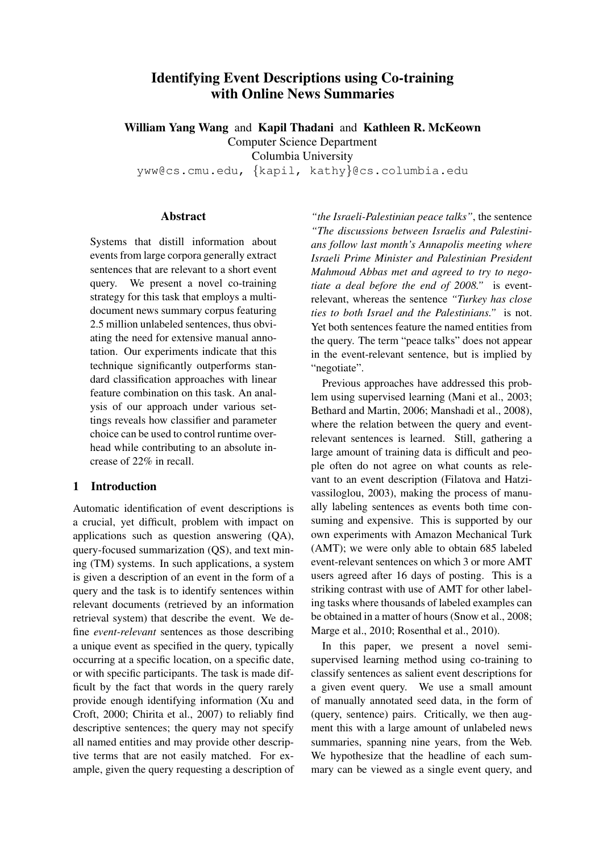# Identifying Event Descriptions using Co-training with Online News Summaries

William Yang Wang and Kapil Thadani and Kathleen R. McKeown Computer Science Department

Columbia University

yww@cs.cmu.edu, {kapil, kathy}@cs.columbia.edu

### Abstract

Systems that distill information about events from large corpora generally extract sentences that are relevant to a short event query. We present a novel co-training strategy for this task that employs a multidocument news summary corpus featuring 2.5 million unlabeled sentences, thus obviating the need for extensive manual annotation. Our experiments indicate that this technique significantly outperforms standard classification approaches with linear feature combination on this task. An analysis of our approach under various settings reveals how classifier and parameter choice can be used to control runtime overhead while contributing to an absolute increase of 22% in recall.

## 1 Introduction

Automatic identification of event descriptions is a crucial, yet difficult, problem with impact on applications such as question answering (QA), query-focused summarization (QS), and text mining (TM) systems. In such applications, a system is given a description of an event in the form of a query and the task is to identify sentences within relevant documents (retrieved by an information retrieval system) that describe the event. We define *event-relevant* sentences as those describing a unique event as specified in the query, typically occurring at a specific location, on a specific date, or with specific participants. The task is made difficult by the fact that words in the query rarely provide enough identifying information (Xu and Croft, 2000; Chirita et al., 2007) to reliably find descriptive sentences; the query may not specify all named entities and may provide other descriptive terms that are not easily matched. For example, given the query requesting a description of

*"the Israeli-Palestinian peace talks"*, the sentence *"The discussions between Israelis and Palestinians follow last month's Annapolis meeting where Israeli Prime Minister and Palestinian President Mahmoud Abbas met and agreed to try to negotiate a deal before the end of 2008."* is eventrelevant, whereas the sentence *"Turkey has close ties to both Israel and the Palestinians."* is not. Yet both sentences feature the named entities from the query. The term "peace talks" does not appear in the event-relevant sentence, but is implied by "negotiate".

Previous approaches have addressed this problem using supervised learning (Mani et al., 2003; Bethard and Martin, 2006; Manshadi et al., 2008), where the relation between the query and eventrelevant sentences is learned. Still, gathering a large amount of training data is difficult and people often do not agree on what counts as relevant to an event description (Filatova and Hatzivassiloglou, 2003), making the process of manually labeling sentences as events both time consuming and expensive. This is supported by our own experiments with Amazon Mechanical Turk (AMT); we were only able to obtain 685 labeled event-relevant sentences on which 3 or more AMT users agreed after 16 days of posting. This is a striking contrast with use of AMT for other labeling tasks where thousands of labeled examples can be obtained in a matter of hours (Snow et al., 2008; Marge et al., 2010; Rosenthal et al., 2010).

In this paper, we present a novel semisupervised learning method using co-training to classify sentences as salient event descriptions for a given event query. We use a small amount of manually annotated seed data, in the form of (query, sentence) pairs. Critically, we then augment this with a large amount of unlabeled news summaries, spanning nine years, from the Web. We hypothesize that the headline of each summary can be viewed as a single event query, and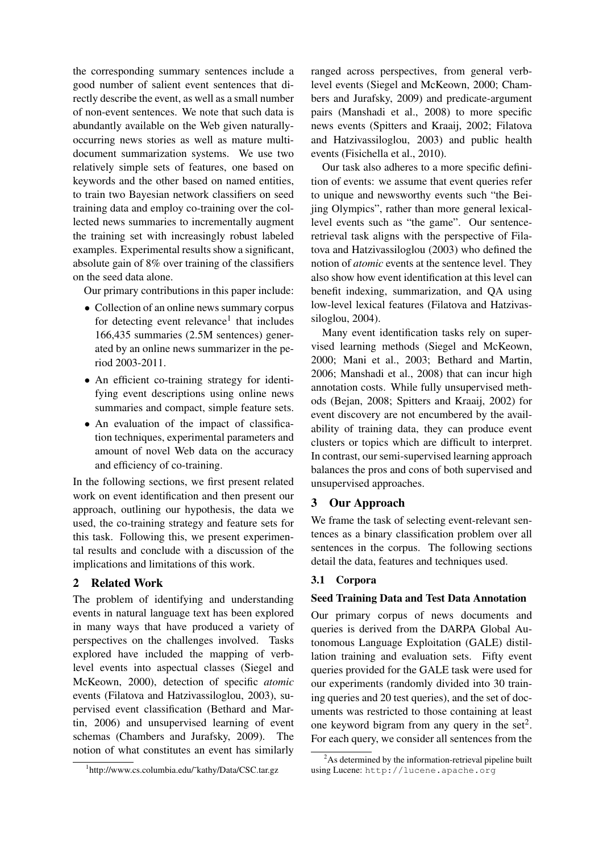the corresponding summary sentences include a good number of salient event sentences that directly describe the event, as well as a small number of non-event sentences. We note that such data is abundantly available on the Web given naturallyoccurring news stories as well as mature multidocument summarization systems. We use two relatively simple sets of features, one based on keywords and the other based on named entities, to train two Bayesian network classifiers on seed training data and employ co-training over the collected news summaries to incrementally augment the training set with increasingly robust labeled examples. Experimental results show a significant, absolute gain of 8% over training of the classifiers on the seed data alone.

Our primary contributions in this paper include:

- Collection of an online news summary corpus for detecting event relevance<sup>1</sup> that includes 166,435 summaries (2.5M sentences) generated by an online news summarizer in the period 2003-2011.
- An efficient co-training strategy for identifying event descriptions using online news summaries and compact, simple feature sets.
- An evaluation of the impact of classification techniques, experimental parameters and amount of novel Web data on the accuracy and efficiency of co-training.

In the following sections, we first present related work on event identification and then present our approach, outlining our hypothesis, the data we used, the co-training strategy and feature sets for this task. Following this, we present experimental results and conclude with a discussion of the implications and limitations of this work.

## 2 Related Work

The problem of identifying and understanding events in natural language text has been explored in many ways that have produced a variety of perspectives on the challenges involved. Tasks explored have included the mapping of verblevel events into aspectual classes (Siegel and McKeown, 2000), detection of specific *atomic* events (Filatova and Hatzivassiloglou, 2003), supervised event classification (Bethard and Martin, 2006) and unsupervised learning of event schemas (Chambers and Jurafsky, 2009). The notion of what constitutes an event has similarly ranged across perspectives, from general verblevel events (Siegel and McKeown, 2000; Chambers and Jurafsky, 2009) and predicate-argument pairs (Manshadi et al., 2008) to more specific news events (Spitters and Kraaij, 2002; Filatova and Hatzivassiloglou, 2003) and public health events (Fisichella et al., 2010).

Our task also adheres to a more specific definition of events: we assume that event queries refer to unique and newsworthy events such "the Beijing Olympics", rather than more general lexicallevel events such as "the game". Our sentenceretrieval task aligns with the perspective of Filatova and Hatzivassiloglou (2003) who defined the notion of *atomic* events at the sentence level. They also show how event identification at this level can benefit indexing, summarization, and QA using low-level lexical features (Filatova and Hatzivassiloglou, 2004).

Many event identification tasks rely on supervised learning methods (Siegel and McKeown, 2000; Mani et al., 2003; Bethard and Martin, 2006; Manshadi et al., 2008) that can incur high annotation costs. While fully unsupervised methods (Bejan, 2008; Spitters and Kraaij, 2002) for event discovery are not encumbered by the availability of training data, they can produce event clusters or topics which are difficult to interpret. In contrast, our semi-supervised learning approach balances the pros and cons of both supervised and unsupervised approaches.

## 3 Our Approach

We frame the task of selecting event-relevant sentences as a binary classification problem over all sentences in the corpus. The following sections detail the data, features and techniques used.

## 3.1 Corpora

## Seed Training Data and Test Data Annotation

Our primary corpus of news documents and queries is derived from the DARPA Global Autonomous Language Exploitation (GALE) distillation training and evaluation sets. Fifty event queries provided for the GALE task were used for our experiments (randomly divided into 30 training queries and 20 test queries), and the set of documents was restricted to those containing at least one keyword bigram from any query in the set<sup>2</sup>. For each query, we consider all sentences from the

<sup>1</sup> http://www.cs.columbia.edu/˜kathy/Data/CSC.tar.gz

 $2<sup>2</sup>$ As determined by the information-retrieval pipeline built using Lucene: http://lucene.apache.org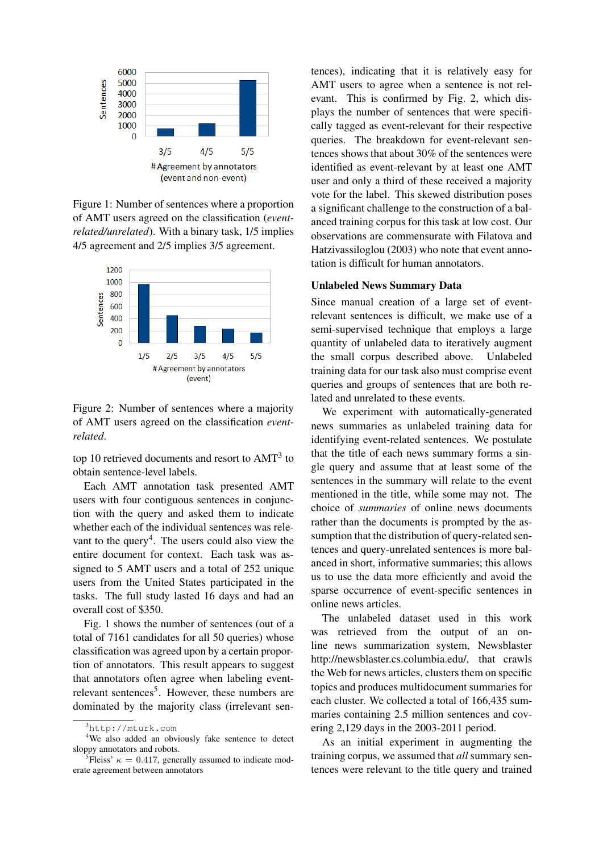

Figure 1: Number of sentences where a proportion of AMT users agreed on the classification (*eventrelated/unrelated*). With a binary task, 1/5 implies 4/5 agreement and 2/5 implies 3/5 agreement.



Figure 2: Number of sentences where a majority of AMT users agreed on the classification *eventrelated*.

top 10 retrieved documents and resort to AMT<sup>3</sup> to obtain sentence-level labels.

Each AMT annotation task presented AMT users with four contiguous sentences in conjunction with the query and asked them to indicate whether each of the individual sentences was relevant to the query<sup>4</sup>. The users could also view the entire document for context. Each task was assigned to 5 AMT users and a total of 252 unique users from the United States participated in the tasks. The full study lasted 16 days and had an overall cost of \$350.

Fig. 1 shows the number of sentences (out of a total of 7161 candidates for all 50 queries) whose classification was agreed upon by a certain proportion of annotators. This result appears to suggest that annotators often agree when labeling eventrelevant sentences<sup>5</sup>. However, these numbers are dominated by the majority class (irrelevant sentences), indicating that it is relatively easy for AMT users to agree when a sentence is not relevant. This is confirmed by Fig. 2, which displays the number of sentences that were specifically tagged as event-relevant for their respective queries. The breakdown for event-relevant sentences shows that about 30% of the sentences were identified as event-relevant by at least one AMT user and only a third of these received a majority vote for the label. This skewed distribution poses a significant challenge to the construction of a balanced training corpus for this task at low cost. Our observations are commensurate with Filatova and Hatzivassiloglou (2003) who note that event annotation is difficult for human annotators.

#### Unlabeled News Summary Data

Since manual creation of a large set of eventrelevant sentences is difficult, we make use of a semi-supervised technique that employs a large quantity of unlabeled data to iteratively augment the small corpus described above. Unlabeled training data for our task also must comprise event queries and groups of sentences that are both related and unrelated to these events.

We experiment with automatically-generated news summaries as unlabeled training data for identifying event-related sentences. We postulate that the title of each news summary forms a single query and assume that at least some of the sentences in the summary will relate to the event mentioned in the title, while some may not. The choice of *summaries* of online news documents rather than the documents is prompted by the assumption that the distribution of query-related sentences and query-unrelated sentences is more balanced in short, informative summaries; this allows us to use the data more efficiently and avoid the sparse occurrence of event-specific sentences in online news articles.

The unlabeled dataset used in this work was retrieved from the output of an online news summarization system, Newsblaster http://newsblaster.cs.columbia.edu/, that crawls the Web for news articles, clusters them on specific topics and produces multidocument summaries for each cluster. We collected a total of 166,435 summaries containing 2.5 million sentences and covering 2,129 days in the 2003-2011 period.

As an initial experiment in augmenting the training corpus, we assumed that *all* summary sentences were relevant to the title query and trained

 $3$ http://mturk.com

<sup>&</sup>lt;sup>4</sup>We also added an obviously fake sentence to detect sloppy annotators and robots.

<sup>&</sup>lt;sup>5</sup>Fleiss'  $\kappa = 0.417$ , generally assumed to indicate moderate agreement between annotators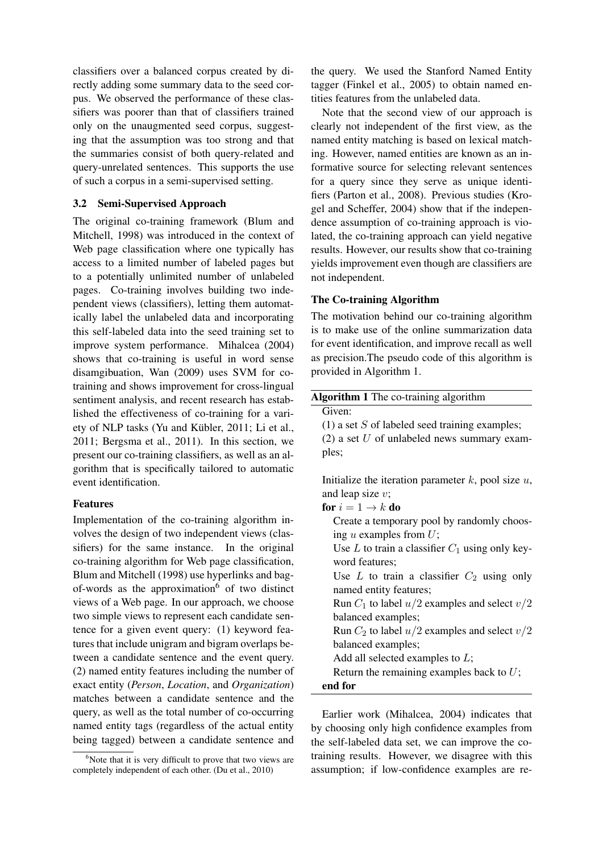classifiers over a balanced corpus created by directly adding some summary data to the seed corpus. We observed the performance of these classifiers was poorer than that of classifiers trained only on the unaugmented seed corpus, suggesting that the assumption was too strong and that the summaries consist of both query-related and query-unrelated sentences. This supports the use of such a corpus in a semi-supervised setting.

### 3.2 Semi-Supervised Approach

The original co-training framework (Blum and Mitchell, 1998) was introduced in the context of Web page classification where one typically has access to a limited number of labeled pages but to a potentially unlimited number of unlabeled pages. Co-training involves building two independent views (classifiers), letting them automatically label the unlabeled data and incorporating this self-labeled data into the seed training set to improve system performance. Mihalcea (2004) shows that co-training is useful in word sense disamgibuation, Wan (2009) uses SVM for cotraining and shows improvement for cross-lingual sentiment analysis, and recent research has established the effectiveness of co-training for a variety of NLP tasks (Yu and Kübler, 2011; Li et al., 2011; Bergsma et al., 2011). In this section, we present our co-training classifiers, as well as an algorithm that is specifically tailored to automatic event identification.

#### Features

Implementation of the co-training algorithm involves the design of two independent views (classifiers) for the same instance. In the original co-training algorithm for Web page classification, Blum and Mitchell (1998) use hyperlinks and bagof-words as the approximation $6$  of two distinct views of a Web page. In our approach, we choose two simple views to represent each candidate sentence for a given event query: (1) keyword features that include unigram and bigram overlaps between a candidate sentence and the event query. (2) named entity features including the number of exact entity (*Person*, *Location*, and *Organization*) matches between a candidate sentence and the query, as well as the total number of co-occurring named entity tags (regardless of the actual entity being tagged) between a candidate sentence and the query. We used the Stanford Named Entity tagger (Finkel et al., 2005) to obtain named entities features from the unlabeled data.

Note that the second view of our approach is clearly not independent of the first view, as the named entity matching is based on lexical matching. However, named entities are known as an informative source for selecting relevant sentences for a query since they serve as unique identifiers (Parton et al., 2008). Previous studies (Krogel and Scheffer, 2004) show that if the independence assumption of co-training approach is violated, the co-training approach can yield negative results. However, our results show that co-training yields improvement even though are classifiers are not independent.

#### The Co-training Algorithm

The motivation behind our co-training algorithm is to make use of the online summarization data for event identification, and improve recall as well as precision.The pseudo code of this algorithm is provided in Algorithm 1.

| Algorithm 1 The co-training algorithm                    |
|----------------------------------------------------------|
| Given:                                                   |
| $(1)$ a set S of labeled seed training examples;         |
| $(2)$ a set U of unlabeled news summary exam-            |
| ples;                                                    |
|                                                          |
| Initialize the iteration parameter $k$ , pool size $u$ , |
| and leap size $v$ ;                                      |
| for $i=1 \rightarrow k$ do                               |
| Create a temporary pool by randomly choos-               |
| ing $u$ examples from $U$ ;                              |
| Use $L$ to train a classifier $C_1$ using only key-      |
| word features;                                           |
| Use L to train a classifier $C_2$ using only             |
| named entity features;                                   |
| Run $C_1$ to label $u/2$ examples and select $v/2$       |
| balanced examples;                                       |
| Run $C_2$ to label $u/2$ examples and select $v/2$       |
| balanced examples;                                       |
| Add all selected examples to $L$ ;                       |
| Return the remaining examples back to $U$ ;              |
| end for                                                  |
|                                                          |

Earlier work (Mihalcea, 2004) indicates that by choosing only high confidence examples from the self-labeled data set, we can improve the cotraining results. However, we disagree with this assumption; if low-confidence examples are re-

 $6$ Note that it is very difficult to prove that two views are completely independent of each other. (Du et al., 2010)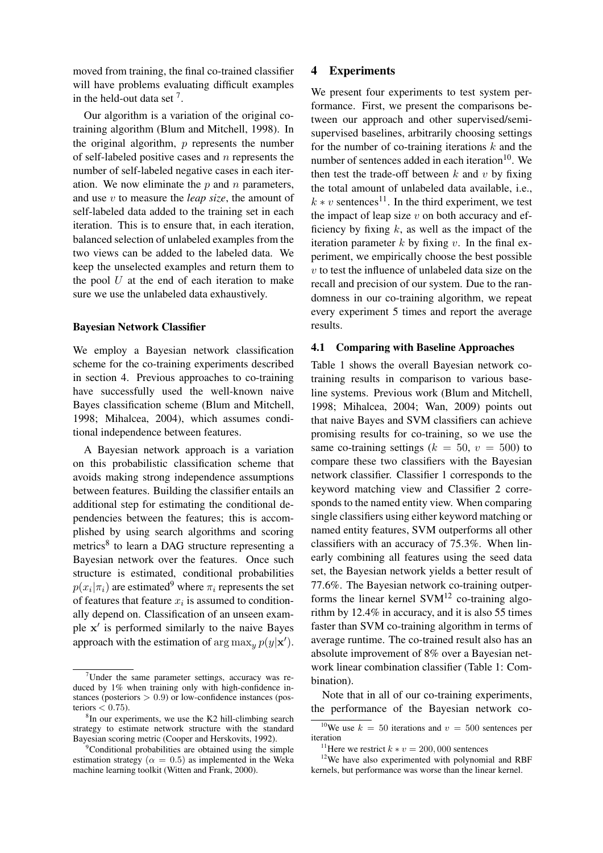moved from training, the final co-trained classifier will have problems evaluating difficult examples in the held-out data set  $<sup>7</sup>$ .</sup>

Our algorithm is a variation of the original cotraining algorithm (Blum and Mitchell, 1998). In the original algorithm,  $p$  represents the number of self-labeled positive cases and  $n$  represents the number of self-labeled negative cases in each iteration. We now eliminate the  $p$  and  $n$  parameters, and use v to measure the *leap size*, the amount of self-labeled data added to the training set in each iteration. This is to ensure that, in each iteration, balanced selection of unlabeled examples from the two views can be added to the labeled data. We keep the unselected examples and return them to the pool  $U$  at the end of each iteration to make sure we use the unlabeled data exhaustively.

#### Bayesian Network Classifier

We employ a Bayesian network classification scheme for the co-training experiments described in section 4. Previous approaches to co-training have successfully used the well-known naive Bayes classification scheme (Blum and Mitchell, 1998; Mihalcea, 2004), which assumes conditional independence between features.

A Bayesian network approach is a variation on this probabilistic classification scheme that avoids making strong independence assumptions between features. Building the classifier entails an additional step for estimating the conditional dependencies between the features; this is accomplished by using search algorithms and scoring metrics<sup>8</sup> to learn a DAG structure representing a Bayesian network over the features. Once such structure is estimated, conditional probabilities  $p(x_i|\pi_i)$  are estimated<sup>9</sup> where  $\pi_i$  represents the set of features that feature  $x_i$  is assumed to conditionally depend on. Classification of an unseen example x' is performed similarly to the naive Bayes approach with the estimation of  $\arg \max_{y} p(y|\mathbf{x}')$ .

#### 4 Experiments

We present four experiments to test system performance. First, we present the comparisons between our approach and other supervised/semisupervised baselines, arbitrarily choosing settings for the number of co-training iterations  $k$  and the number of sentences added in each iteration $10$ . We then test the trade-off between  $k$  and  $v$  by fixing the total amount of unlabeled data available, i.e.,  $k * v$  sentences<sup>11</sup>. In the third experiment, we test the impact of leap size  $v$  on both accuracy and efficiency by fixing  $k$ , as well as the impact of the iteration parameter  $k$  by fixing  $v$ . In the final experiment, we empirically choose the best possible  $v$  to test the influence of unlabeled data size on the recall and precision of our system. Due to the randomness in our co-training algorithm, we repeat every experiment 5 times and report the average results.

#### 4.1 Comparing with Baseline Approaches

Table 1 shows the overall Bayesian network cotraining results in comparison to various baseline systems. Previous work (Blum and Mitchell, 1998; Mihalcea, 2004; Wan, 2009) points out that naive Bayes and SVM classifiers can achieve promising results for co-training, so we use the same co-training settings ( $k = 50$ ,  $v = 500$ ) to compare these two classifiers with the Bayesian network classifier. Classifier 1 corresponds to the keyword matching view and Classifier 2 corresponds to the named entity view. When comparing single classifiers using either keyword matching or named entity features, SVM outperforms all other classifiers with an accuracy of 75.3%. When linearly combining all features using the seed data set, the Bayesian network yields a better result of 77.6%. The Bayesian network co-training outperforms the linear kernel  $SVM^{12}$  co-training algorithm by 12.4% in accuracy, and it is also 55 times faster than SVM co-training algorithm in terms of average runtime. The co-trained result also has an absolute improvement of 8% over a Bayesian network linear combination classifier (Table 1: Combination).

Note that in all of our co-training experiments, the performance of the Bayesian network co-

 $7$ Under the same parameter settings, accuracy was reduced by 1% when training only with high-confidence instances (posteriors  $> 0.9$ ) or low-confidence instances (posteriors  $< 0.75$ ).

<sup>&</sup>lt;sup>8</sup>In our experiments, we use the K2 hill-climbing search strategy to estimate network structure with the standard Bayesian scoring metric (Cooper and Herskovits, 1992).

<sup>&</sup>lt;sup>9</sup>Conditional probabilities are obtained using the simple estimation strategy ( $\alpha = 0.5$ ) as implemented in the Weka machine learning toolkit (Witten and Frank, 2000).

<sup>&</sup>lt;sup>10</sup>We use  $k = 50$  iterations and  $v = 500$  sentences per iteration

<sup>&</sup>lt;sup>11</sup>Here we restrict  $k * v = 200,000$  sentences

<sup>&</sup>lt;sup>12</sup>We have also experimented with polynomial and RBF kernels, but performance was worse than the linear kernel.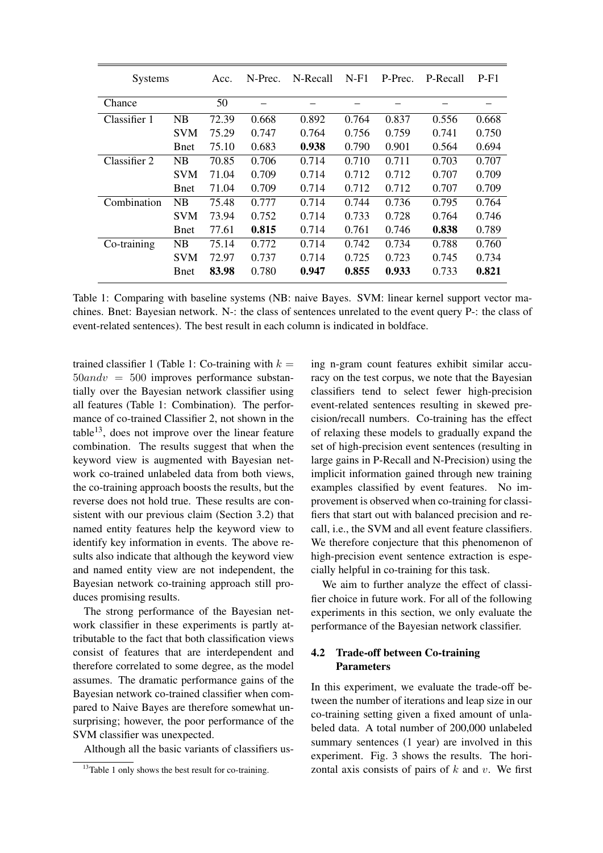| <b>Systems</b> |              | Acc.  | N-Prec. | N-Recall | $N-F1$ | P-Prec. | P-Recall | $P-F1$ |
|----------------|--------------|-------|---------|----------|--------|---------|----------|--------|
| Chance         |              | 50    |         |          |        |         |          |        |
| Classifier 1   | NB           | 72.39 | 0.668   | 0.892    | 0.764  | 0.837   | 0.556    | 0.668  |
|                | <b>SVM</b>   | 75.29 | 0.747   | 0.764    | 0.756  | 0.759   | 0.741    | 0.750  |
|                | <b>B</b> net | 75.10 | 0.683   | 0.938    | 0.790  | 0.901   | 0.564    | 0.694  |
| Classifier 2   | NB           | 70.85 | 0.706   | 0.714    | 0.710  | 0.711   | 0.703    | 0.707  |
|                | <b>SVM</b>   | 71.04 | 0.709   | 0.714    | 0.712  | 0.712   | 0.707    | 0.709  |
|                | <b>B</b> net | 71.04 | 0.709   | 0.714    | 0.712  | 0.712   | 0.707    | 0.709  |
| Combination    | NB           | 75.48 | 0.777   | 0.714    | 0.744  | 0.736   | 0.795    | 0.764  |
|                | <b>SVM</b>   | 73.94 | 0.752   | 0.714    | 0.733  | 0.728   | 0.764    | 0.746  |
|                | <b>B</b> net | 77.61 | 0.815   | 0.714    | 0.761  | 0.746   | 0.838    | 0.789  |
| Co-training    | NB           | 75.14 | 0.772   | 0.714    | 0.742  | 0.734   | 0.788    | 0.760  |
|                | <b>SVM</b>   | 72.97 | 0.737   | 0.714    | 0.725  | 0.723   | 0.745    | 0.734  |
|                | <b>B</b> net | 83.98 | 0.780   | 0.947    | 0.855  | 0.933   | 0.733    | 0.821  |

Table 1: Comparing with baseline systems (NB: naive Bayes. SVM: linear kernel support vector machines. Bnet: Bayesian network. N-: the class of sentences unrelated to the event query P-: the class of event-related sentences). The best result in each column is indicated in boldface.

trained classifier 1 (Table 1: Co-training with  $k =$  $50$ and $v = 500$  improves performance substantially over the Bayesian network classifier using all features (Table 1: Combination). The performance of co-trained Classifier 2, not shown in the  $table<sup>13</sup>$ , does not improve over the linear feature combination. The results suggest that when the keyword view is augmented with Bayesian network co-trained unlabeled data from both views, the co-training approach boosts the results, but the reverse does not hold true. These results are consistent with our previous claim (Section 3.2) that named entity features help the keyword view to identify key information in events. The above results also indicate that although the keyword view and named entity view are not independent, the Bayesian network co-training approach still produces promising results.

The strong performance of the Bayesian network classifier in these experiments is partly attributable to the fact that both classification views consist of features that are interdependent and therefore correlated to some degree, as the model assumes. The dramatic performance gains of the Bayesian network co-trained classifier when compared to Naive Bayes are therefore somewhat unsurprising; however, the poor performance of the SVM classifier was unexpected.

Although all the basic variants of classifiers us-

ing n-gram count features exhibit similar accuracy on the test corpus, we note that the Bayesian classifiers tend to select fewer high-precision event-related sentences resulting in skewed precision/recall numbers. Co-training has the effect of relaxing these models to gradually expand the set of high-precision event sentences (resulting in large gains in P-Recall and N-Precision) using the implicit information gained through new training examples classified by event features. No improvement is observed when co-training for classifiers that start out with balanced precision and recall, i.e., the SVM and all event feature classifiers. We therefore conjecture that this phenomenon of high-precision event sentence extraction is especially helpful in co-training for this task.

We aim to further analyze the effect of classifier choice in future work. For all of the following experiments in this section, we only evaluate the performance of the Bayesian network classifier.

## 4.2 Trade-off between Co-training Parameters

In this experiment, we evaluate the trade-off between the number of iterations and leap size in our co-training setting given a fixed amount of unlabeled data. A total number of 200,000 unlabeled summary sentences (1 year) are involved in this experiment. Fig. 3 shows the results. The horizontal axis consists of pairs of  $k$  and  $v$ . We first

<sup>&</sup>lt;sup>13</sup>Table 1 only shows the best result for co-training.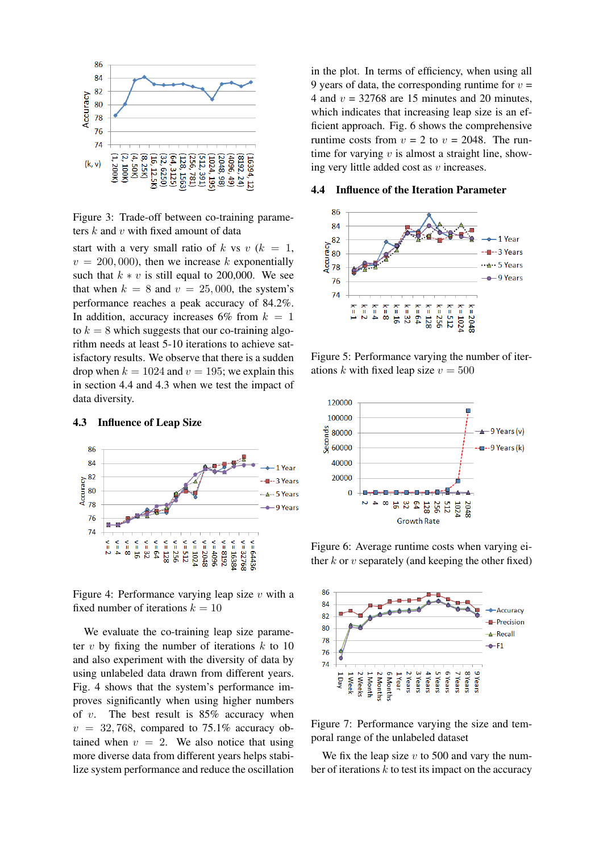

Figure 3: Trade-off between co-training parameters  $k$  and  $v$  with fixed amount of data

start with a very small ratio of k vs v  $(k = 1,$  $v = 200,000$ , then we increase k exponentially such that  $k * v$  is still equal to 200,000. We see that when  $k = 8$  and  $v = 25,000$ , the system's performance reaches a peak accuracy of 84.2%. In addition, accuracy increases 6% from  $k = 1$ to  $k = 8$  which suggests that our co-training algorithm needs at least 5-10 iterations to achieve satisfactory results. We observe that there is a sudden drop when  $k = 1024$  and  $v = 195$ ; we explain this in section 4.4 and 4.3 when we test the impact of data diversity.

#### 4.3 Influence of Leap Size



Figure 4: Performance varying leap size  $v$  with a fixed number of iterations  $k = 10$ 

We evaluate the co-training leap size parameter  $v$  by fixing the number of iterations  $k$  to 10 and also experiment with the diversity of data by using unlabeled data drawn from different years. Fig. 4 shows that the system's performance improves significantly when using higher numbers of  $v$ . The best result is 85% accuracy when  $v = 32,768$ , compared to 75.1% accuracy obtained when  $v = 2$ . We also notice that using more diverse data from different years helps stabilize system performance and reduce the oscillation in the plot. In terms of efficiency, when using all 9 years of data, the corresponding runtime for  $v =$ 4 and  $v = 32768$  are 15 minutes and 20 minutes, which indicates that increasing leap size is an efficient approach. Fig. 6 shows the comprehensive runtime costs from  $v = 2$  to  $v = 2048$ . The runtime for varying  $v$  is almost a straight line, showing very little added cost as  $v$  increases.

#### 4.4 Influence of the Iteration Parameter



Figure 5: Performance varying the number of iterations k with fixed leap size  $v = 500$ 



Figure 6: Average runtime costs when varying either  $k$  or  $v$  separately (and keeping the other fixed)



Figure 7: Performance varying the size and temporal range of the unlabeled dataset

We fix the leap size  $v$  to 500 and vary the number of iterations  $k$  to test its impact on the accuracy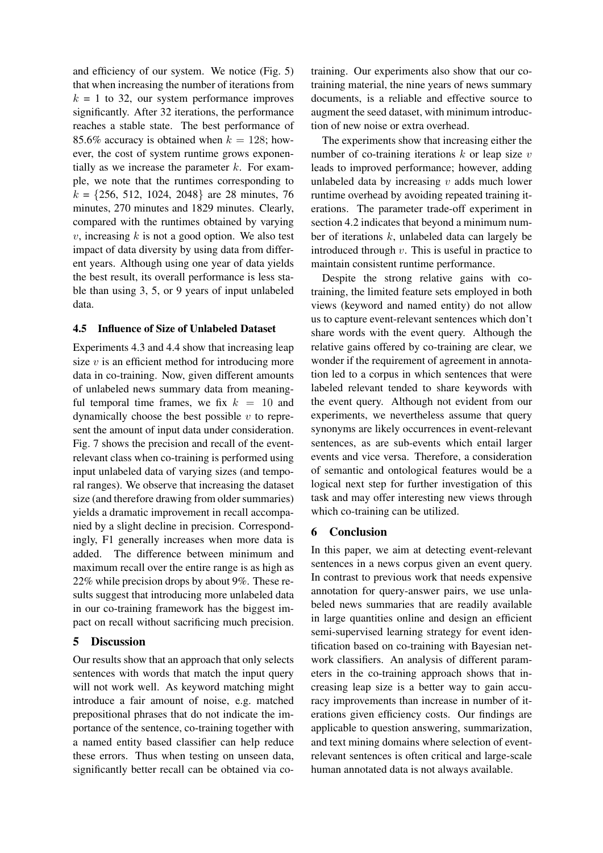and efficiency of our system. We notice (Fig. 5) that when increasing the number of iterations from  $k = 1$  to 32, our system performance improves significantly. After 32 iterations, the performance reaches a stable state. The best performance of 85.6% accuracy is obtained when  $k = 128$ ; however, the cost of system runtime grows exponentially as we increase the parameter  $k$ . For example, we note that the runtimes corresponding to  $k = \{256, 512, 1024, 2048\}$  are 28 minutes, 76 minutes, 270 minutes and 1829 minutes. Clearly, compared with the runtimes obtained by varying  $v$ , increasing  $k$  is not a good option. We also test impact of data diversity by using data from different years. Although using one year of data yields the best result, its overall performance is less stable than using 3, 5, or 9 years of input unlabeled data.

#### 4.5 Influence of Size of Unlabeled Dataset

Experiments 4.3 and 4.4 show that increasing leap size  $v$  is an efficient method for introducing more data in co-training. Now, given different amounts of unlabeled news summary data from meaningful temporal time frames, we fix  $k = 10$  and dynamically choose the best possible  $v$  to represent the amount of input data under consideration. Fig. 7 shows the precision and recall of the eventrelevant class when co-training is performed using input unlabeled data of varying sizes (and temporal ranges). We observe that increasing the dataset size (and therefore drawing from older summaries) yields a dramatic improvement in recall accompanied by a slight decline in precision. Correspondingly, F1 generally increases when more data is added. The difference between minimum and maximum recall over the entire range is as high as 22% while precision drops by about 9%. These results suggest that introducing more unlabeled data in our co-training framework has the biggest impact on recall without sacrificing much precision.

#### 5 Discussion

Our results show that an approach that only selects sentences with words that match the input query will not work well. As keyword matching might introduce a fair amount of noise, e.g. matched prepositional phrases that do not indicate the importance of the sentence, co-training together with a named entity based classifier can help reduce these errors. Thus when testing on unseen data, significantly better recall can be obtained via cotraining. Our experiments also show that our cotraining material, the nine years of news summary documents, is a reliable and effective source to augment the seed dataset, with minimum introduction of new noise or extra overhead.

The experiments show that increasing either the number of co-training iterations  $k$  or leap size  $v$ leads to improved performance; however, adding unlabeled data by increasing  $v$  adds much lower runtime overhead by avoiding repeated training iterations. The parameter trade-off experiment in section 4.2 indicates that beyond a minimum number of iterations  $k$ , unlabeled data can largely be introduced through  $v$ . This is useful in practice to maintain consistent runtime performance.

Despite the strong relative gains with cotraining, the limited feature sets employed in both views (keyword and named entity) do not allow us to capture event-relevant sentences which don't share words with the event query. Although the relative gains offered by co-training are clear, we wonder if the requirement of agreement in annotation led to a corpus in which sentences that were labeled relevant tended to share keywords with the event query. Although not evident from our experiments, we nevertheless assume that query synonyms are likely occurrences in event-relevant sentences, as are sub-events which entail larger events and vice versa. Therefore, a consideration of semantic and ontological features would be a logical next step for further investigation of this task and may offer interesting new views through which co-training can be utilized.

## 6 Conclusion

In this paper, we aim at detecting event-relevant sentences in a news corpus given an event query. In contrast to previous work that needs expensive annotation for query-answer pairs, we use unlabeled news summaries that are readily available in large quantities online and design an efficient semi-supervised learning strategy for event identification based on co-training with Bayesian network classifiers. An analysis of different parameters in the co-training approach shows that increasing leap size is a better way to gain accuracy improvements than increase in number of iterations given efficiency costs. Our findings are applicable to question answering, summarization, and text mining domains where selection of eventrelevant sentences is often critical and large-scale human annotated data is not always available.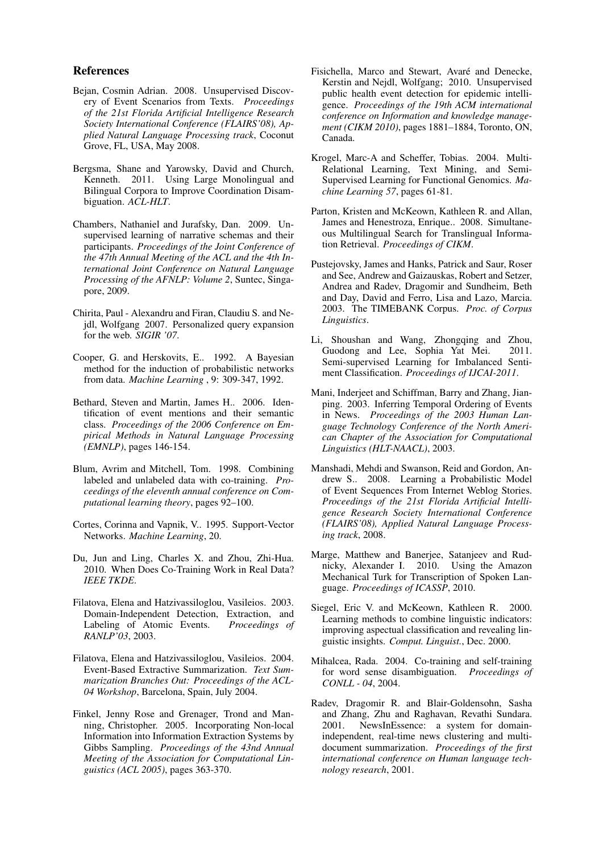#### References

- Bejan, Cosmin Adrian. 2008. Unsupervised Discovery of Event Scenarios from Texts. *Proceedings of the 21st Florida Artificial Intelligence Research Society International Conference (FLAIRS'08), Applied Natural Language Processing track*, Coconut Grove, FL, USA, May 2008.
- Bergsma, Shane and Yarowsky, David and Church, Kenneth. 2011. Using Large Monolingual and Bilingual Corpora to Improve Coordination Disambiguation. *ACL-HLT*.
- Chambers, Nathaniel and Jurafsky, Dan. 2009. Unsupervised learning of narrative schemas and their participants. *Proceedings of the Joint Conference of the 47th Annual Meeting of the ACL and the 4th International Joint Conference on Natural Language Processing of the AFNLP: Volume 2*, Suntec, Singapore, 2009.
- Chirita, Paul Alexandru and Firan, Claudiu S. and Nejdl, Wolfgang 2007. Personalized query expansion for the web. *SIGIR '07*.
- Cooper, G. and Herskovits, E.. 1992. A Bayesian method for the induction of probabilistic networks from data. *Machine Learning* , 9: 309-347, 1992.
- Bethard, Steven and Martin, James H.. 2006. Identification of event mentions and their semantic class. *Proceedings of the 2006 Conference on Empirical Methods in Natural Language Processing (EMNLP)*, pages 146-154.
- Blum, Avrim and Mitchell, Tom. 1998. Combining labeled and unlabeled data with co-training. *Proceedings of the eleventh annual conference on Computational learning theory*, pages 92–100.
- Cortes, Corinna and Vapnik, V.. 1995. Support-Vector Networks. *Machine Learning*, 20.
- Du, Jun and Ling, Charles X. and Zhou, Zhi-Hua. 2010. When Does Co-Training Work in Real Data? *IEEE TKDE*.
- Filatova, Elena and Hatzivassiloglou, Vasileios. 2003. Domain-Independent Detection, Extraction, and Labeling of Atomic Events. *Proceedings of RANLP'03*, 2003.
- Filatova, Elena and Hatzivassiloglou, Vasileios. 2004. Event-Based Extractive Summarization. *Text Summarization Branches Out: Proceedings of the ACL-04 Workshop*, Barcelona, Spain, July 2004.
- Finkel, Jenny Rose and Grenager, Trond and Manning, Christopher. 2005. Incorporating Non-local Information into Information Extraction Systems by Gibbs Sampling. *Proceedings of the 43nd Annual Meeting of the Association for Computational Linguistics (ACL 2005)*, pages 363-370.
- Fisichella, Marco and Stewart, Avaré and Denecke, Kerstin and Nejdl, Wolfgang; 2010. Unsupervised public health event detection for epidemic intelligence. *Proceedings of the 19th ACM international conference on Information and knowledge management (CIKM 2010)*, pages 1881–1884, Toronto, ON, Canada.
- Krogel, Marc-A and Scheffer, Tobias. 2004. Multi-Relational Learning, Text Mining, and Semi-Supervised Learning for Functional Genomics. *Machine Learning 57*, pages 61-81.
- Parton, Kristen and McKeown, Kathleen R. and Allan, James and Henestroza, Enrique.. 2008. Simultaneous Multilingual Search for Translingual Information Retrieval. *Proceedings of CIKM*.
- Pustejovsky, James and Hanks, Patrick and Saur, Roser and See, Andrew and Gaizauskas, Robert and Setzer, Andrea and Radev, Dragomir and Sundheim, Beth and Day, David and Ferro, Lisa and Lazo, Marcia. 2003. The TIMEBANK Corpus. *Proc. of Corpus Linguistics*.
- Li, Shoushan and Wang, Zhongqing and Zhou, Guodong and Lee, Sophia Yat Mei. 2011. Semi-supervised Learning for Imbalanced Sentiment Classification. *Proceedings of IJCAI-2011*.
- Mani, Inderjeet and Schiffman, Barry and Zhang, Jianping. 2003. Inferring Temporal Ordering of Events in News. *Proceedings of the 2003 Human Language Technology Conference of the North American Chapter of the Association for Computational Linguistics (HLT-NAACL)*, 2003.
- Manshadi, Mehdi and Swanson, Reid and Gordon, Andrew S.. 2008. Learning a Probabilistic Model of Event Sequences From Internet Weblog Stories. *Proceedings of the 21st Florida Artificial Intelligence Research Society International Conference (FLAIRS'08), Applied Natural Language Processing track*, 2008.
- Marge, Matthew and Banerjee, Satanjeev and Rudnicky, Alexander I. 2010. Using the Amazon Mechanical Turk for Transcription of Spoken Language. *Proceedings of ICASSP*, 2010.
- Siegel, Eric V. and McKeown, Kathleen R. 2000. Learning methods to combine linguistic indicators: improving aspectual classification and revealing linguistic insights. *Comput. Linguist.*, Dec. 2000.
- Mihalcea, Rada. 2004. Co-training and self-training for word sense disambiguation. *Proceedings of CONLL - 04*, 2004.
- Radev, Dragomir R. and Blair-Goldensohn, Sasha and Zhang, Zhu and Raghavan, Revathi Sundara. 2001. NewsInEssence: a system for domainindependent, real-time news clustering and multidocument summarization. *Proceedings of the first international conference on Human language technology research*, 2001.